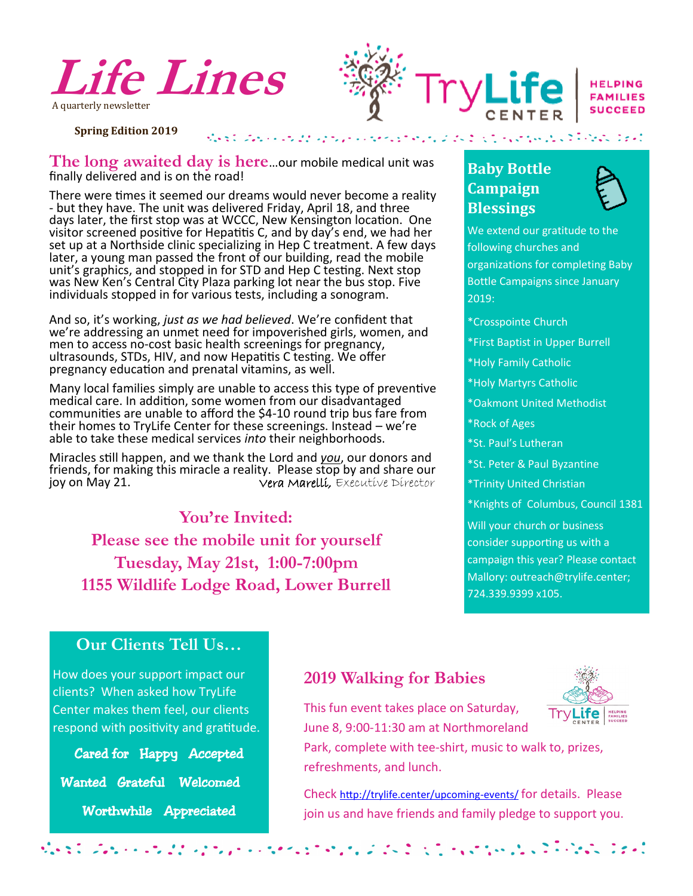



**Spring Edition 2019**

**The long awaited day is here**…our mobile medical unit was finally delivered and is on the road!

There were times it seemed our dreams would never become a reality - but they have. The unit was delivered Friday, April 18, and three days later, the first stop was at WCCC, New Kensington location. One visitor screened positive for Hepatitis C, and by day's end, we had her set up at a Northside clinic specializing in Hep C treatment. A few days later, a young man passed the front of our building, read the mobile unit's graphics, and stopped in for STD and Hep C testing. Next stop was New Ken's Central City Plaza parking lot near the bus stop. Five individuals stopped in for various tests, including a sonogram.

And so, it's working, *just as we had believed*. We're confident that we're addressing an unmet need for impoverished girls, women, and men to access no-cost basic health screenings for pregnancy, ultrasounds, STDs, HIV, and now Hepatitis C testing. We offer pregnancy education and prenatal vitamins, as well.

Many local families simply are unable to access this type of preventive medical care. In addition, some women from our disadvantaged communities are unable to afford the \$4-10 round trip bus fare from their homes to TryLife Center for these screenings. Instead – we're able to take these medical services *into* their neighborhoods.

Miracles still happen, and we thank the Lord and *you*, our donors and friends, for making this miracle a reality. Please stop by and share our<br>joy on May 21.<br>Vera Marellí, Executive Director Vera Marelli, Executive Director

## **You're Invited:**

**Please see the mobile unit for yourself Tuesday, May 21st, 1:00-7:00pm 1155 Wildlife Lodge Road, Lower Burrell**

# **Baby Bottle Campaign Blessings**



We extend our gratitude to the following churches and organizations for completing Baby Bottle Campaigns since January 2019:

- \*Crosspointe Church
- \*First Baptist in Upper Burrell
- \*Holy Family Catholic
- \*Holy Martyrs Catholic
- \*Oakmont United Methodist
- \*Rock of Ages
- \*St. Paul's Lutheran
- \*St. Peter & Paul Byzantine
- \*Trinity United Christian
- \*Knights of Columbus, Council 1381

Will your church or business consider supporting us with a campaign this year? Please contact Mallory: outreach@trylife.center; 724.339.9399 x105.

 $\mathcal{L}^{\text{max}}_{\text{max}} = \mathcal{L}^{\text{max}}_{\text{max}} = \mathcal{L}^{\text{max}}_{\text{max}} = \mathcal{L}^{\text{max}}_{\text{max}}$ 

### **Our Clients Tell Us…**

How does your support impact our clients? When asked how TryLife Center makes them feel, our clients respond with positivity and gratitude.

Cared for Happy Accepted

Wanted Grateful Welcomed

Worthwhile Appreciated

### **2019 Walking for Babies**



Check [http://trylife.center/upcoming](http://trylife.center/upcoming-events/)-events/ for details. Please join us and have friends and family pledge to support you.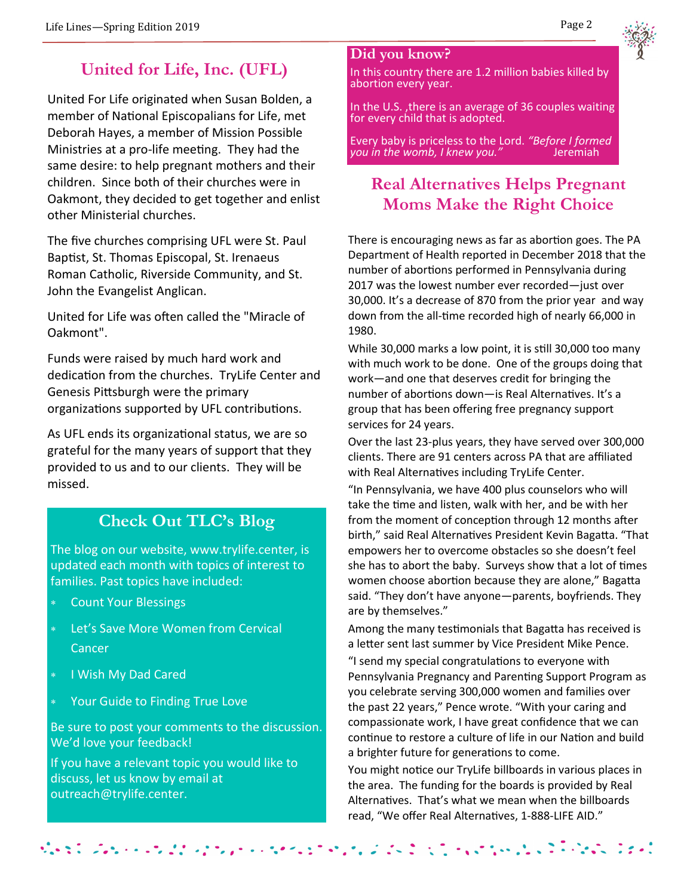# **United for Life, Inc. (UFL)**

United For Life originated when Susan Bolden, a member of National Episcopalians for Life, met Deborah Hayes, a member of Mission Possible Ministries at a pro-life meeting. They had the same desire: to help pregnant mothers and their children. Since both of their churches were in Oakmont, they decided to get together and enlist other Ministerial churches.

The five churches comprising UFL were St. Paul Baptist, St. Thomas Episcopal, St. Irenaeus Roman Catholic, Riverside Community, and St. John the Evangelist Anglican.

United for Life was often called the "Miracle of Oakmont".

Funds were raised by much hard work and dedication from the churches. TryLife Center and Genesis Pittsburgh were the primary organizations supported by UFL contributions.

As UFL ends its organizational status, we are so grateful for the many years of support that they provided to us and to our clients. They will be missed.

# **Check Out TLC's Blog**

The blog on our website, www.trylife.center, is updated each month with topics of interest to families. Past topics have included:

- Count Your Blessings
- Let's Save More Women from Cervical Cancer
- **I Wish My Dad Cared**

 $\mathcal{L} = \mathcal{L} \times \mathcal{L}$  . The contract of  $\mathcal{L}$ 

Your Guide to Finding True Love

Be sure to post your comments to the discussion. We'd love your feedback!

If you have a relevant topic you would like to discuss, let us know by email at outreach@trylife.center.

### **Did you know?**

In this country there are 1.2 million babies killed by abortion every year.

In the U.S. ,there is an average of 36 couples waiting for every child that is adopted.

Every baby is priceless to the Lord. *"Before I formed you in the womb, I knew you.*"

# **Real Alternatives Helps Pregnant Moms Make the Right Choice**

There is encouraging news as far as abortion goes. The PA Department of Health reported in December 2018 that the number of abortions performed in Pennsylvania during 2017 was the lowest number ever recorded—just over 30,000. It's a decrease of 870 from the prior year and way down from the all-time recorded high of nearly 66,000 in 1980.

While 30,000 marks a low point, it is still 30,000 too many with much work to be done. One of the groups doing that work—and one that deserves credit for bringing the number of abortions down—is Real Alternatives. It's a group that has been offering free pregnancy support services for 24 years.

Over the last 23-plus years, they have served over 300,000 clients. There are 91 centers across PA that are affiliated with Real Alternatives including TryLife Center.

"In Pennsylvania, we have 400 plus counselors who will take the time and listen, walk with her, and be with her from the moment of conception through 12 months after birth," said Real Alternatives President Kevin Bagatta. "That empowers her to overcome obstacles so she doesn't feel she has to abort the baby. Surveys show that a lot of times women choose abortion because they are alone," Bagatta said. "They don't have anyone—parents, boyfriends. They are by themselves."

Among the many testimonials that Bagatta has received is a letter sent last summer by Vice President Mike Pence. "I send my special congratulations to everyone with Pennsylvania Pregnancy and Parenting Support Program as you celebrate serving 300,000 women and families over the past 22 years," Pence wrote. "With your caring and compassionate work, I have great confidence that we can continue to restore a culture of life in our Nation and build a brighter future for generations to come.

You might notice our TryLife billboards in various places in the area. The funding for the boards is provided by Real Alternatives. That's what we mean when the billboards read, "We offer Real Alternatives, 1-888-LIFE AID."

**Section Access Production** 

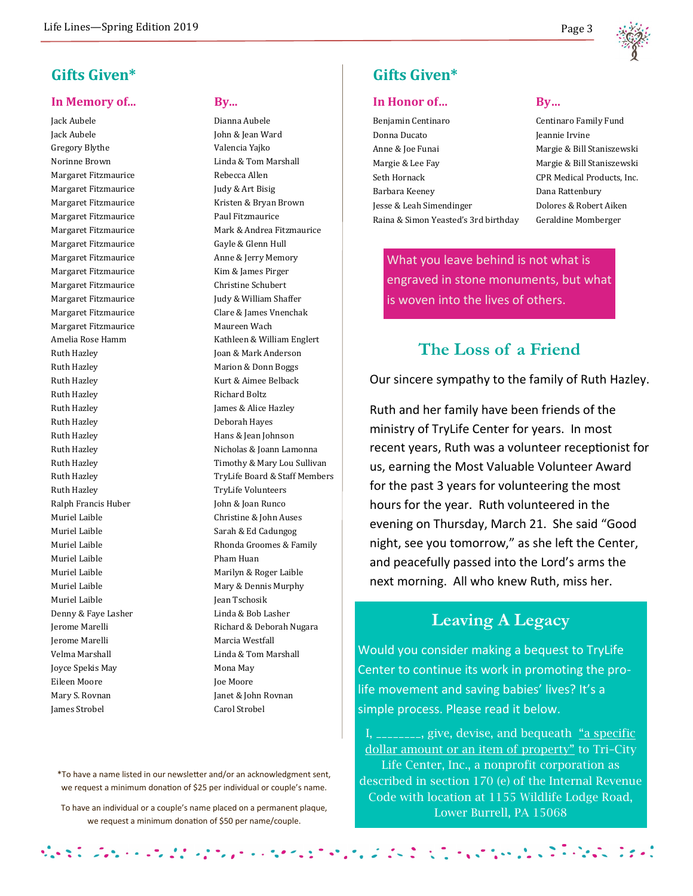

## **Gifts Given\***

### **In Memory of... By...**

Jack Aubele Dianna Aubele Jack Aubele John & Jean Ward Gregory Blythe Valencia Yajko Margaret Fitzmaurice Rebecca Allen Margaret Fitzmaurice Judy & Art Bisig Margaret Fitzmaurice **Paul Fitzmaurice** Paul Fitzmaurice Margaret Fitzmaurice Gayle & Glenn Hull Margaret Fitzmaurice Kim & James Pirger Margaret Fitzmaurice Christine Schubert Margaret Fitzmaurice Maureen Wach Ruth Hazley **Richard Boltz** Ruth Hazley **James & Alice Hazley** Ruth Hazley Deborah Hayes Ruth Hazley **Hans & Jean Johnson** Ruth Hazley TryLife Volunteers Ralph Francis Huber John & Joan Runco Muriel Laible **Pham Huan** Muriel Laible **Jean Tschosik** Denny & Faye Lasher Linda & Bob Lasher Jerome Marelli **Marcia Westfall** Joyce Spekis May **Monamary** Mona May Eileen Moore **Joe Moore** Joe Moore Mary S. Rovnan Janet & John Rovnan James Strobel Carol Strobel

Norinne Brown Linda & Tom Marshall Margaret Fitzmaurice Kristen & Bryan Brown Margaret Fitzmaurice Mark & Andrea Fitzmaurice Margaret Fitzmaurice Anne & Jerry Memory Margaret Fitzmaurice Judy & William Shaffer Margaret Fitzmaurice Clare & James Vnenchak Amelia Rose Hamm Kathleen & William Englert Ruth Hazley **Joan & Mark Anderson** Ruth Hazley Marion & Donn Boggs Ruth Hazley **Kurt & Aimee Belback** Ruth Hazley **Nicholas & Joann Lamonna** Ruth Hazley **Timothy & Mary Lou Sullivan** Ruth Hazley **TryLife Board & Staff Members** Muriel Laible **Christine & John Auses** Muriel Laible Sarah & Ed Cadungog Muriel Laible Rhonda Groomes & Family Muriel Laible Marilyn & Roger Laible Muriel Laible Mary & Dennis Murphy Jerome Marelli **Richard & Deborah Nugara** Velma Marshall Linda & Tom Marshall

**Gifts Given\*** 

### In Honor of... By...

| Benjamin Centinaro                   |
|--------------------------------------|
| Donna Ducato                         |
| Anne & Joe Funai                     |
| Margie & Lee Fay                     |
| Seth Hornack                         |
| Barbara Keeney                       |
| Jesse & Leah Simendinger             |
| Raina & Simon Yeasted's 3rd birthday |

Centinaro Family Fund Jeannie Irvine Margie & Bill Staniszewski Margie & Bill Staniszewski CPR Medical Products, Inc. Dana Rattenbury Dolores & Robert Aiken Geraldine Momberger

What you leave behind is not what is engraved in stone monuments, but what is woven into the lives of others.

## **The Loss of a Friend**

Our sincere sympathy to the family of Ruth Hazley.

Ruth and her family have been friends of the ministry of TryLife Center for years. In most recent years, Ruth was a volunteer receptionist for us, earning the Most Valuable Volunteer Award for the past 3 years for volunteering the most hours for the year. Ruth volunteered in the evening on Thursday, March 21. She said "Good night, see you tomorrow," as she left the Center, and peacefully passed into the Lord's arms the next morning. All who knew Ruth, miss her.

# **Leaving A Legacy**

Would you consider making a bequest to TryLife Center to continue its work in promoting the prolife movement and saving babies' lives? It's a simple process. Please read it below.

I,  $\frac{1}{2}$  =  $\frac{1}{2}$  =  $\frac{1}{2}$  =  $\frac{1}{2}$  =  $\frac{1}{2}$  =  $\frac{1}{2}$  =  $\frac{1}{2}$  =  $\frac{1}{2}$  =  $\frac{1}{2}$  =  $\frac{1}{2}$  =  $\frac{1}{2}$  =  $\frac{1}{2}$  =  $\frac{1}{2}$  =  $\frac{1}{2}$  =  $\frac{1}{2}$  =  $\frac{1}{2}$  =  $\frac{1}{2}$  =  $\frac{1}{2}$  =  $\$ dollar amount or an item of property" to Tri–City Life Center, Inc., a nonprofit corporation as described in section 170 (e) of the Internal Revenue Code with location at 1155 Wildlife Lodge Road, Lower Burrell, PA 15068

\*To have a name listed in our newsletter and/or an acknowledgment sent, we request a minimum donation of \$25 per individual or couple's name.

To have an individual or a couple's name placed on a permanent plaque, we request a minimum donation of \$50 per name/couple.

やって スパット・マスト インディー・マイン たいしょう かいこうしょう いっしょう しんこうかく